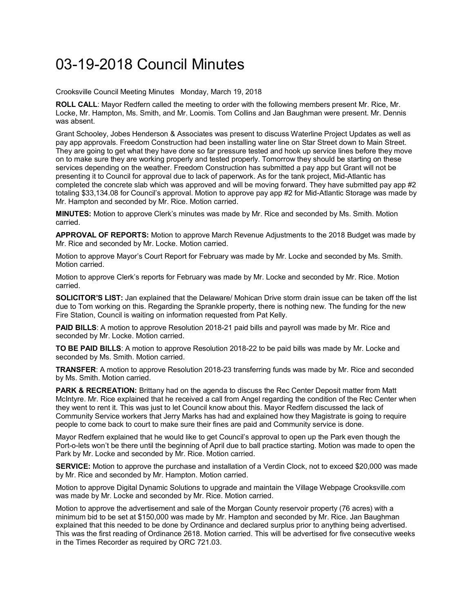## 03-19-2018 Council Minutes

Crooksville Council Meeting Minutes Monday, March 19, 2018

**ROLL CALL**: Mayor Redfern called the meeting to order with the following members present Mr. Rice, Mr. Locke, Mr. Hampton, Ms. Smith, and Mr. Loomis. Tom Collins and Jan Baughman were present. Mr. Dennis was absent.

Grant Schooley, Jobes Henderson & Associates was present to discuss Waterline Project Updates as well as pay app approvals. Freedom Construction had been installing water line on Star Street down to Main Street. They are going to get what they have done so far pressure tested and hook up service lines before they move on to make sure they are working properly and tested properly. Tomorrow they should be starting on these services depending on the weather. Freedom Construction has submitted a pay app but Grant will not be presenting it to Council for approval due to lack of paperwork. As for the tank project, Mid-Atlantic has completed the concrete slab which was approved and will be moving forward. They have submitted pay app #2 totaling \$33,134.08 for Council's approval. Motion to approve pay app #2 for Mid-Atlantic Storage was made by Mr. Hampton and seconded by Mr. Rice. Motion carried.

**MINUTES:** Motion to approve Clerk's minutes was made by Mr. Rice and seconded by Ms. Smith. Motion carried.

**APPROVAL OF REPORTS:** Motion to approve March Revenue Adjustments to the 2018 Budget was made by Mr. Rice and seconded by Mr. Locke. Motion carried.

Motion to approve Mayor's Court Report for February was made by Mr. Locke and seconded by Ms. Smith. Motion carried.

Motion to approve Clerk's reports for February was made by Mr. Locke and seconded by Mr. Rice. Motion carried.

**SOLICITOR'S LIST:** Jan explained that the Delaware/ Mohican Drive storm drain issue can be taken off the list due to Tom working on this. Regarding the Sprankle property, there is nothing new. The funding for the new Fire Station, Council is waiting on information requested from Pat Kelly.

**PAID BILLS**: A motion to approve Resolution 2018-21 paid bills and payroll was made by Mr. Rice and seconded by Mr. Locke. Motion carried.

**TO BE PAID BILLS**: A motion to approve Resolution 2018-22 to be paid bills was made by Mr. Locke and seconded by Ms. Smith. Motion carried.

**TRANSFER**: A motion to approve Resolution 2018-23 transferring funds was made by Mr. Rice and seconded by Ms. Smith. Motion carried.

**PARK & RECREATION:** Brittany had on the agenda to discuss the Rec Center Deposit matter from Matt McIntyre. Mr. Rice explained that he received a call from Angel regarding the condition of the Rec Center when they went to rent it. This was just to let Council know about this. Mayor Redfern discussed the lack of Community Service workers that Jerry Marks has had and explained how they Magistrate is going to require people to come back to court to make sure their fines are paid and Community service is done.

Mayor Redfern explained that he would like to get Council's approval to open up the Park even though the Port-o-lets won't be there until the beginning of April due to ball practice starting. Motion was made to open the Park by Mr. Locke and seconded by Mr. Rice. Motion carried.

**SERVICE:** Motion to approve the purchase and installation of a Verdin Clock, not to exceed \$20,000 was made by Mr. Rice and seconded by Mr. Hampton. Motion carried.

Motion to approve Digital Dynamic Solutions to upgrade and maintain the Village Webpage Crooksville.com was made by Mr. Locke and seconded by Mr. Rice. Motion carried.

Motion to approve the advertisement and sale of the Morgan County reservoir property (76 acres) with a minimum bid to be set at \$150,000 was made by Mr. Hampton and seconded by Mr. Rice. Jan Baughman explained that this needed to be done by Ordinance and declared surplus prior to anything being advertised. This was the first reading of Ordinance 2618. Motion carried. This will be advertised for five consecutive weeks in the Times Recorder as required by ORC 721.03.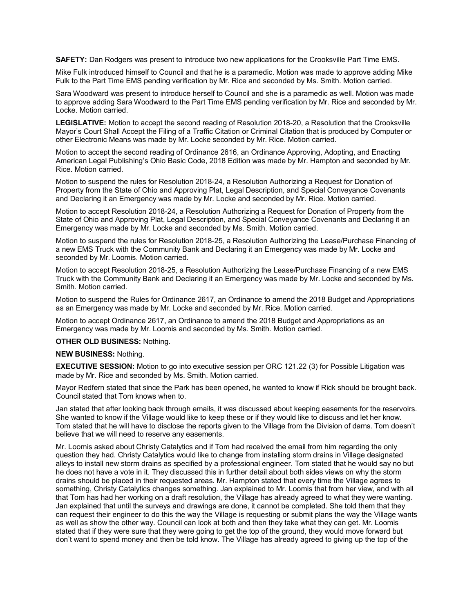**SAFETY:** Dan Rodgers was present to introduce two new applications for the Crooksville Part Time EMS.

Mike Fulk introduced himself to Council and that he is a paramedic. Motion was made to approve adding Mike Fulk to the Part Time EMS pending verification by Mr. Rice and seconded by Ms. Smith. Motion carried.

Sara Woodward was present to introduce herself to Council and she is a paramedic as well. Motion was made to approve adding Sara Woodward to the Part Time EMS pending verification by Mr. Rice and seconded by Mr. Locke. Motion carried.

**LEGISLATIVE:** Motion to accept the second reading of Resolution 2018-20, a Resolution that the Crooksville Mayor's Court Shall Accept the Filing of a Traffic Citation or Criminal Citation that is produced by Computer or other Electronic Means was made by Mr. Locke seconded by Mr. Rice. Motion carried.

Motion to accept the second reading of Ordinance 2616, an Ordinance Approving, Adopting, and Enacting American Legal Publishing's Ohio Basic Code, 2018 Edition was made by Mr. Hampton and seconded by Mr. Rice. Motion carried.

Motion to suspend the rules for Resolution 2018-24, a Resolution Authorizing a Request for Donation of Property from the State of Ohio and Approving Plat, Legal Description, and Special Conveyance Covenants and Declaring it an Emergency was made by Mr. Locke and seconded by Mr. Rice. Motion carried.

Motion to accept Resolution 2018-24, a Resolution Authorizing a Request for Donation of Property from the State of Ohio and Approving Plat, Legal Description, and Special Conveyance Covenants and Declaring it an Emergency was made by Mr. Locke and seconded by Ms. Smith. Motion carried.

Motion to suspend the rules for Resolution 2018-25, a Resolution Authorizing the Lease/Purchase Financing of a new EMS Truck with the Community Bank and Declaring it an Emergency was made by Mr. Locke and seconded by Mr. Loomis. Motion carried.

Motion to accept Resolution 2018-25, a Resolution Authorizing the Lease/Purchase Financing of a new EMS Truck with the Community Bank and Declaring it an Emergency was made by Mr. Locke and seconded by Ms. Smith. Motion carried.

Motion to suspend the Rules for Ordinance 2617, an Ordinance to amend the 2018 Budget and Appropriations as an Emergency was made by Mr. Locke and seconded by Mr. Rice. Motion carried.

Motion to accept Ordinance 2617, an Ordinance to amend the 2018 Budget and Appropriations as an Emergency was made by Mr. Loomis and seconded by Ms. Smith. Motion carried.

## **OTHER OLD BUSINESS:** Nothing.

## **NEW BUSINESS:** Nothing.

**EXECUTIVE SESSION:** Motion to go into executive session per ORC 121.22 (3) for Possible Litigation was made by Mr. Rice and seconded by Ms. Smith. Motion carried.

Mayor Redfern stated that since the Park has been opened, he wanted to know if Rick should be brought back. Council stated that Tom knows when to.

Jan stated that after looking back through emails, it was discussed about keeping easements for the reservoirs. She wanted to know if the Village would like to keep these or if they would like to discuss and let her know. Tom stated that he will have to disclose the reports given to the Village from the Division of dams. Tom doesn't believe that we will need to reserve any easements.

Mr. Loomis asked about Christy Catalytics and if Tom had received the email from him regarding the only question they had. Christy Catalytics would like to change from installing storm drains in Village designated alleys to install new storm drains as specified by a professional engineer. Tom stated that he would say no but he does not have a vote in it. They discussed this in further detail about both sides views on why the storm drains should be placed in their requested areas. Mr. Hampton stated that every time the Village agrees to something, Christy Catalytics changes something. Jan explained to Mr. Loomis that from her view, and with all that Tom has had her working on a draft resolution, the Village has already agreed to what they were wanting. Jan explained that until the surveys and drawings are done, it cannot be completed. She told them that they can request their engineer to do this the way the Village is requesting or submit plans the way the Village wants as well as show the other way. Council can look at both and then they take what they can get. Mr. Loomis stated that if they were sure that they were going to get the top of the ground, they would move forward but don't want to spend money and then be told know. The Village has already agreed to giving up the top of the